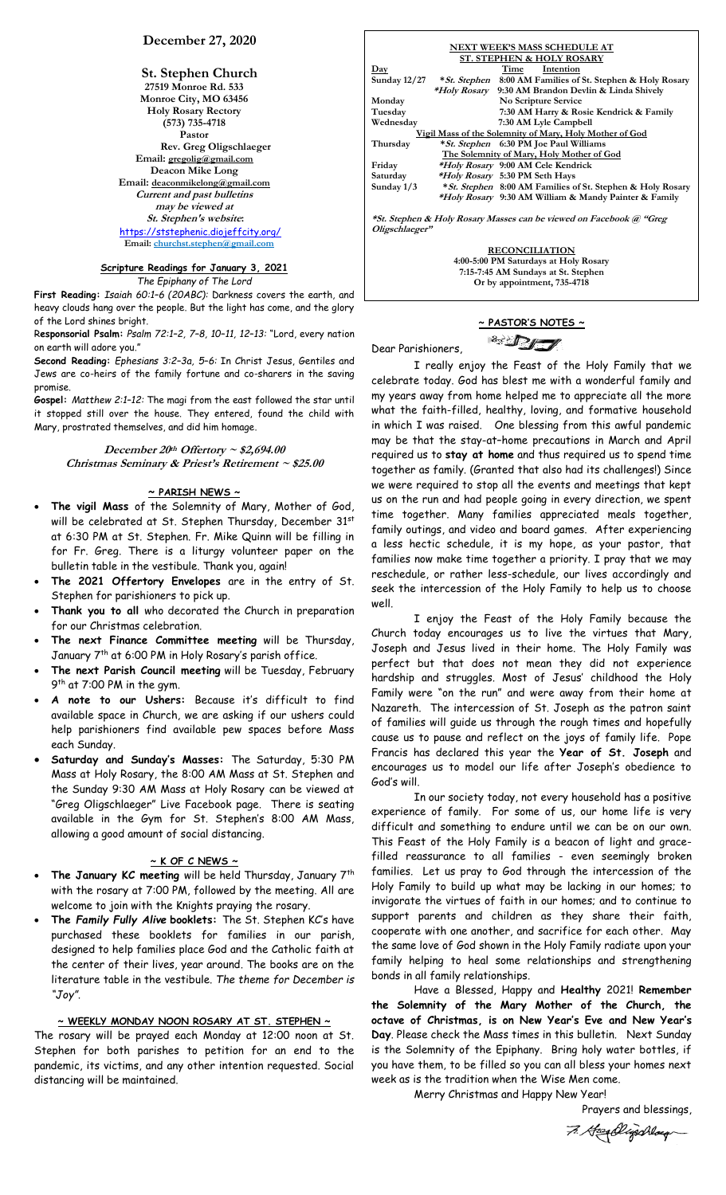## **December 27, 2020**

**St. Stephen Church 27519 Monroe Rd. 533 Monroe City, MO 63456 Holy Rosary Rectory (573) 735-4718 Pastor Rev. Greg Oligschlaeger Email: gregolig@gmail.com Deacon Mike Long Email: deaconmikelong@gmail.com Current and past bulletins may be viewed at St. Stephen's website:** <https://ststephenic.diojeffcity.org/>  **Email: [churchst.stephen@gmail.com](mailto:churchst.stephen@gmail.com)**

# **Scripture Readings for January 3, 2021**

*The Epiphany of The Lord*

**First Reading:** *Isaiah 60:1–6 (20ABC):* Darkness covers the earth, and heavy clouds hang over the people. But the light has come, and the glory of the Lord shines bright.

R**esponsorial Psalm:** *Psalm 72:1–2, 7–8, 10–11, 12–13:* "Lord, every nation on earth will adore you."

**Second Reading:** *Ephesians 3:2–3a, 5–6:* In Christ Jesus, Gentiles and Jews are co-heirs of the family fortune and co-sharers in the saving promise.

**Gospel:** *Matthew 2:1–12:* The magi from the east followed the star until it stopped still over the house. They entered, found the child with Mary, prostrated themselves, and did him homage.

**December 20 th Offertory ~ \$2,694.00 Christmas Seminary & Priest's Retirement ~ \$25.00**

## **~ PARISH NEWS ~**

- **The vigil Mass** of the Solemnity of Mary, Mother of God, will be celebrated at St. Stephen Thursday, December 31st at 6:30 PM at St. Stephen. Fr. Mike Quinn will be filling in for Fr. Greg. There is a liturgy volunteer paper on the bulletin table in the vestibule. Thank you, again!
- **The 2021 Offertory Envelopes** are in the entry of St. Stephen for parishioners to pick up.
- **Thank you to all** who decorated the Church in preparation for our Christmas celebration.
- **The next Finance Committee meeting** will be Thursday, January 7th at 6:00 PM in Holy Rosary's parish office.
- **The next Parish Council meeting** will be Tuesday, February 9<sup>th</sup> at 7:00 PM in the gym.
- **A note to our Ushers:** Because it's difficult to find available space in Church, we are asking if our ushers could help parishioners find available pew spaces before Mass each Sunday.
- **Saturday and Sunday's Masses:** The Saturday, 5:30 PM Mass at Holy Rosary, the 8:00 AM Mass at St. Stephen and the Sunday 9:30 AM Mass at Holy Rosary can be viewed at "Greg Oligschlaeger" Live Facebook page. There is seating available in the Gym for St. Stephen's 8:00 AM Mass, allowing a good amount of social distancing.

## **~ K OF C NEWS ~**

- **The January KC meeting** will be held Thursday, January 7th with the rosary at 7:00 PM, followed by the meeting. All are welcome to join with the Knights praying the rosary.
- **The** *Family Fully Alive* **booklets:** The St. Stephen KC's have purchased these booklets for families in our parish, designed to help families place God and the Catholic faith at the center of their lives, year around. The books are on the literature table in the vestibule. *The theme for December is "Joy"*.

## **~ WEEKLY MONDAY NOON ROSARY AT ST. STEPHEN ~**

The rosary will be prayed each Monday at 12:00 noon at St. Stephen for both parishes to petition for an end to the pandemic, its victims, and any other intention requested. Social distancing will be maintained.

|                                                                     |  | NEXT WEEK'S MASS SCHEDULE AT                                      |  |  |
|---------------------------------------------------------------------|--|-------------------------------------------------------------------|--|--|
| <b>ST. STEPHEN &amp; HOLY ROSARY</b>                                |  |                                                                   |  |  |
| $_{\rm Day}$                                                        |  | Time<br>Intention                                                 |  |  |
| Sunday $12/27$                                                      |  | <i>*St. Stephen</i> 8:00 AM Families of St. Stephen & Holy Rosary |  |  |
|                                                                     |  | <i>*Holy Rosary</i> 9:30 AM Brandon Devlin & Linda Shively        |  |  |
| Monday                                                              |  | No Scripture Service                                              |  |  |
| Tuesday                                                             |  | 7:30 AM Harry & Rosie Kendrick & Family                           |  |  |
| Wednesday                                                           |  | 7:30 AM Lyle Campbell                                             |  |  |
| Vigil Mass of the Solemnity of Mary, Holy Mother of God             |  |                                                                   |  |  |
| Thursday                                                            |  | <i>*St. Stephen</i> 6:30 PM Joe Paul Williams                     |  |  |
| The Solemnity of Mary, Holy Mother of God                           |  |                                                                   |  |  |
| Friday                                                              |  | *Holy Rosary 9:00 AM Cele Kendrick                                |  |  |
| Saturday                                                            |  | <i>*Holy Rosary</i> 5:30 PM Seth Hays                             |  |  |
| Sunday $1/3$                                                        |  | <i>*St. Stephen</i> 8:00 AM Families of St. Stephen & Holy Rosary |  |  |
|                                                                     |  | <i>*Holy Rosary</i> 9:30 AM William & Mandy Painter & Family      |  |  |
|                                                                     |  |                                                                   |  |  |
| *St. Stephen & Holy Rosary Masses can be viewed on Facebook @ "Greg |  |                                                                   |  |  |
| Oligschlaeger"                                                      |  |                                                                   |  |  |

**RECONCILIATION 4:00-5:00 PM Saturdays at Holy Rosary 7:15-7:45 AM Sundays at St. Stephen Or by appointment, 735-4718**

## **~ PASTOR'S NOTES ~ SIDE**

Dear Parishioners,

I really enjoy the Feast of the Holy Family that we celebrate today. God has blest me with a wonderful family and my years away from home helped me to appreciate all the more what the faith-filled, healthy, loving, and formative household in which I was raised. One blessing from this awful pandemic may be that the stay-at–home precautions in March and April required us to **stay at home** and thus required us to spend time together as family. (Granted that also had its challenges!) Since we were required to stop all the events and meetings that kept us on the run and had people going in every direction, we spent time together. Many families appreciated meals together, family outings, and video and board games. After experiencing a less hectic schedule, it is my hope, as your pastor, that families now make time together a priority. I pray that we may reschedule, or rather less-schedule, our lives accordingly and seek the intercession of the Holy Family to help us to choose well.

I enjoy the Feast of the Holy Family because the Church today encourages us to live the virtues that Mary, Joseph and Jesus lived in their home. The Holy Family was perfect but that does not mean they did not experience hardship and struggles. Most of Jesus' childhood the Holy Family were "on the run" and were away from their home at Nazareth. The intercession of St. Joseph as the patron saint of families will guide us through the rough times and hopefully cause us to pause and reflect on the joys of family life. Pope Francis has declared this year the **Year of St. Joseph** and encourages us to model our life after Joseph's obedience to God's will.

In our society today, not every household has a positive experience of family. For some of us, our home life is very difficult and something to endure until we can be on our own. This Feast of the Holy Family is a beacon of light and gracefilled reassurance to all families - even seemingly broken families. Let us pray to God through the intercession of the Holy Family to build up what may be lacking in our homes; to invigorate the virtues of faith in our homes; and to continue to support parents and children as they share their faith, cooperate with one another, and sacrifice for each other. May the same love of God shown in the Holy Family radiate upon your family helping to heal some relationships and strengthening bonds in all family relationships.

Have a Blessed, Happy and **Healthy** 2021! **Remember the Solemnity of the Mary Mother of the Church, the octave of Christmas, is on New Year's Eve and New Year's Day**. Please check the Mass times in this bulletin. Next Sunday is the Solemnity of the Epiphany. Bring holy water bottles, if you have them, to be filled so you can all bless your homes next week as is the tradition when the Wise Men come.

Merry Christmas and Happy New Year!

Prayers and blessings,

7. Hospilligschlaug